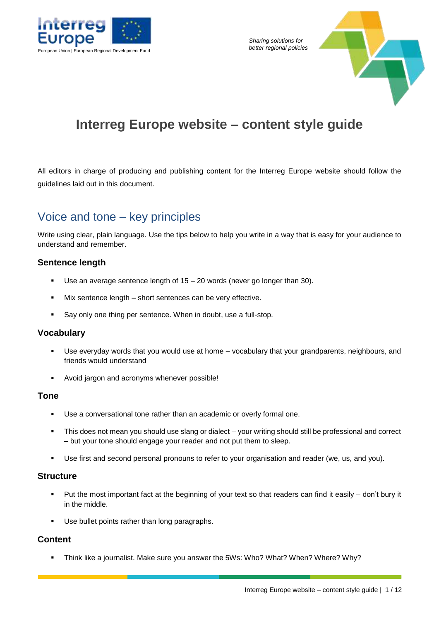

*Sharing solutions for* 



# **Interreg Europe website – content style guide**

All editors in charge of producing and publishing content for the Interreg Europe website should follow the guidelines laid out in this document.

# Voice and tone – key principles

Write using clear, plain language. Use the tips below to help you write in a way that is easy for your audience to understand and remember.

### **Sentence length**

- Use an average sentence length of  $15 20$  words (never go longer than 30).
- Mix sentence length short sentences can be very effective.
- Say only one thing per sentence. When in doubt, use a full-stop.

### **Vocabulary**

- Use everyday words that you would use at home vocabulary that your grandparents, neighbours, and friends would understand
- Avoid jargon and acronyms whenever possible!

### **Tone**

- Use a conversational tone rather than an academic or overly formal one.
- This does not mean you should use slang or dialect your writing should still be professional and correct – but your tone should engage your reader and not put them to sleep.
- Use first and second personal pronouns to refer to your organisation and reader (we, us, and you).

### **Structure**

- Put the most important fact at the beginning of your text so that readers can find it easily don't bury it in the middle.
- Use bullet points rather than long paragraphs.

### **Content**

Think like a journalist. Make sure you answer the 5Ws: Who? What? When? Where? Why?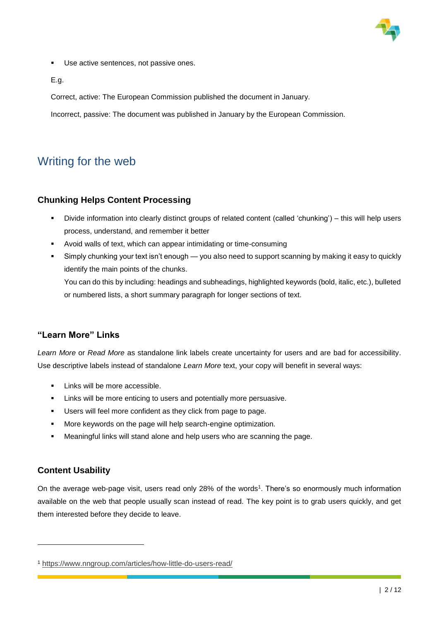

Use active sentences, not passive ones.

E.g.

Correct, active: The European Commission published the document in January.

Incorrect, passive: The document was published in January by the European Commission.

# Writing for the web

### **Chunking Helps Content Processing**

- Divide information into clearly distinct groups of related content (called 'chunking') this will help users process, understand, and remember it better
- Avoid walls of text, which can appear intimidating or time-consuming
- Simply chunking your text isn't enough you also need to support scanning by making it easy to quickly identify the main points of the chunks.

You can do this by including: headings and subheadings, highlighted keywords (bold, italic, etc.), bulleted or numbered lists, a short summary paragraph for longer sections of text.

### **"Learn More" Links**

*Learn More* or *Read More* as standalone link labels create uncertainty for users and are bad for accessibility. Use descriptive labels instead of standalone *Learn More* text, your copy will benefit in several ways:

- Links will be more accessible.
- Links will be more enticing to users and potentially more persuasive.
- Users will feel more confident as they click from page to page.
- **More keywords on the page will help search-engine optimization.**
- Meaningful links will stand alone and help users who are scanning the page.

### **Content Usability**

-

On the average web-page visit, users read only 28% of the words<sup>1</sup>. There's so enormously much information available on the web that people usually scan instead of read. The key point is to grab users quickly, and get them interested before they decide to leave.

<sup>1</sup> https://www.nngroup.com/articles/how-little-do-users-read/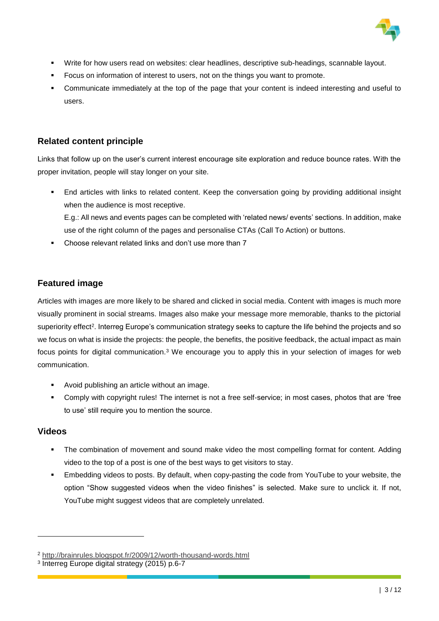

- Write for how users read on websites: clear headlines, descriptive sub-headings, scannable layout.
- Focus on information of interest to users, not on the things you want to promote.
- Communicate immediately at the top of the page that your content is indeed interesting and useful to users.

### **Related content principle**

Links that follow up on the user's current interest encourage site exploration and reduce bounce rates. With the proper invitation, people will stay longer on your site.

- End articles with links to related content. Keep the conversation going by providing additional insight when the audience is most receptive. E.g.: All news and events pages can be completed with 'related news/ events' sections. In addition, make
	- use of the right column of the pages and personalise CTAs (Call To Action) or buttons.
- Choose relevant related links and don't use more than 7

### **Featured image**

Articles with images are more likely to be shared and clicked in social media. Content with images is much more visually prominent in social streams. Images also make your message more memorable, thanks to the pictorial superiority effect<sup>2</sup>. Interreg Europe's communication strategy seeks to capture the life behind the projects and so we focus on what is inside the projects: the people, the benefits, the positive feedback, the actual impact as main focus points for digital communication.<sup>3</sup> We encourage you to apply this in your selection of images for web communication.

- Avoid publishing an article without an image.
- Comply with copyright rules! The internet is not a free self-service; in most cases, photos that are 'free to use' still require you to mention the source.

### **Videos**

1

- The combination of movement and sound make video the most compelling format for content. Adding video to the top of a post is one of the best ways to get visitors to stay.
- Embedding videos to posts. By default, when copy-pasting the code from YouTube to your website, the option "Show suggested videos when the video finishes" is selected. Make sure to unclick it. If not, YouTube might suggest videos that are completely unrelated.

<sup>2</sup> http://brainrules.blogspot.fr/2009/12/worth-thousand-words.html

<sup>3</sup> Interreg Europe digital strategy (2015) p.6-7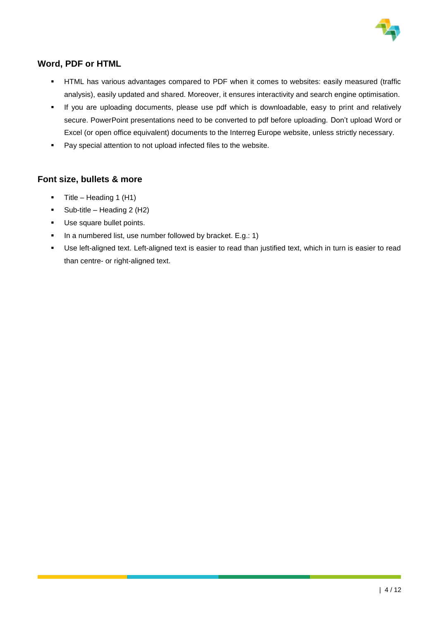

## **Word, PDF or HTML**

- HTML has various advantages compared to PDF when it comes to websites: easily measured (traffic analysis), easily updated and shared. Moreover, it ensures interactivity and search engine optimisation.
- If you are uploading documents, please use pdf which is downloadable, easy to print and relatively secure. PowerPoint presentations need to be converted to pdf before uploading. Don't upload Word or Excel (or open office equivalent) documents to the Interreg Europe website, unless strictly necessary.
- **Pay special attention to not upload infected files to the website.**

### **Font size, bullets & more**

- $\blacksquare$  Title Heading 1 (H1)
- $\blacksquare$  Sub-title Heading 2 (H2)
- **Use square bullet points.**
- In a numbered list, use number followed by bracket. E.g.: 1)
- Use left-aligned text. Left-aligned text is easier to read than justified text, which in turn is easier to read than centre- or right-aligned text.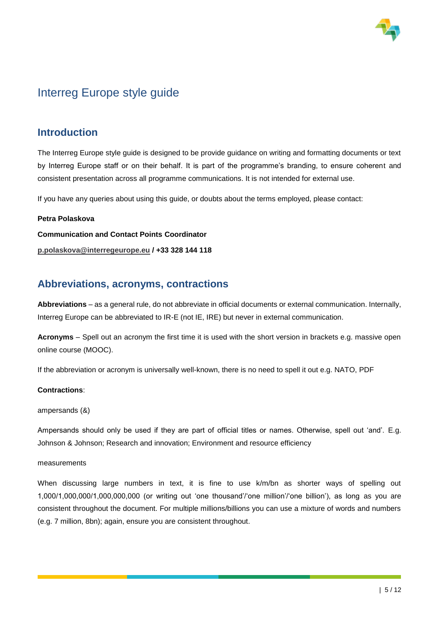

# Interreg Europe style guide

## **Introduction**

The Interreg Europe style guide is designed to be provide guidance on writing and formatting documents or text by Interreg Europe staff or on their behalf. It is part of the programme's branding, to ensure coherent and consistent presentation across all programme communications. It is not intended for external use.

If you have any queries about using this guide, or doubts about the terms employed, please contact:

#### **Petra Polaskova**

**Communication and Contact Points Coordinator**

**p.polaskova@interregeurope.eu / +33 328 144 118** 

## **Abbreviations, acronyms, contractions**

**Abbreviations** – as a general rule, do not abbreviate in official documents or external communication. Internally, Interreg Europe can be abbreviated to IR-E (not IE, IRE) but never in external communication.

**Acronyms** – Spell out an acronym the first time it is used with the short version in brackets e.g. massive open online course (MOOC).

If the abbreviation or acronym is universally well-known, there is no need to spell it out e.g. NATO, PDF

#### **Contractions**:

ampersands (&)

Ampersands should only be used if they are part of official titles or names. Otherwise, spell out 'and'. E.g. Johnson & Johnson; Research and innovation; Environment and resource efficiency

#### measurements

When discussing large numbers in text, it is fine to use k/m/bn as shorter ways of spelling out 1,000/1,000,000/1,000,000,000 (or writing out 'one thousand'/'one million'/'one billion'), as long as you are consistent throughout the document. For multiple millions/billions you can use a mixture of words and numbers (e.g. 7 million, 8bn); again, ensure you are consistent throughout.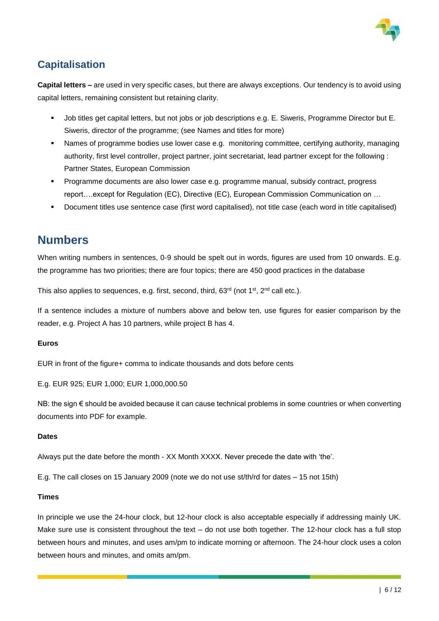

## **Capitalisation**

**Capital letters –** are used in very specific cases, but there are always exceptions. Our tendency is to avoid using capital letters, remaining consistent but retaining clarity.

- Job titles get capital letters, but not jobs or job descriptions e.g. E. Siweris, Programme Director but E. Siweris, director of the programme; (see Names and titles for more)
- Names of programme bodies use lower case e.g. monitoring committee, certifying authority, managing authority, first level controller, project partner, joint secretariat, lead partner except for the following : Partner States, European Commission
- Programme documents are also lower case e.g. programme manual, subsidy contract, progress report….except for Regulation (EC), Directive (EC), European Commission Communication on …
- Document titles use sentence case (first word capitalised), not title case (each word in title capitalised)

## **Numbers**

When writing numbers in sentences, 0-9 should be spelt out in words, figures are used from 10 onwards. E.g. the programme has two priorities; there are four topics; there are 450 good practices in the database

This also applies to sequences, e.g. first, second, third, 63<sup>rd</sup> (not 1<sup>st</sup>, 2<sup>nd</sup> call etc.).

If a sentence includes a mixture of numbers above and below ten, use figures for easier comparison by the reader, e.g. Project A has 10 partners, while project B has 4.

### **Euros**

EUR in front of the figure+ comma to indicate thousands and dots before cents

E.g. EUR 925; EUR 1,000; EUR 1,000,000.50

NB: the sign € should be avoided because it can cause technical problems in some countries or when converting documents into PDF for example.

#### **Dates**

Always put the date before the month - XX Month XXXX. Never precede the date with 'the'.

E.g. The call closes on 15 January 2009 (note we do not use st/th/rd for dates – 15 not 15th)

#### **Times**

In principle we use the 24-hour clock, but 12-hour clock is also acceptable especially if addressing mainly UK. Make sure use is consistent throughout the text – do not use both together. The 12-hour clock has a full stop between hours and minutes, and uses am/pm to indicate morning or afternoon. The 24-hour clock uses a colon between hours and minutes, and omits am/pm.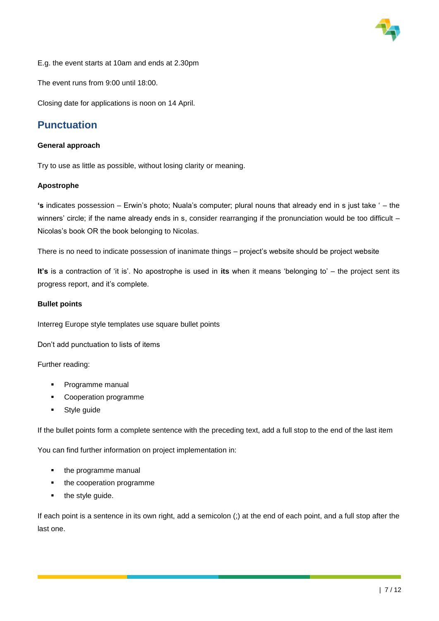

E.g. the event starts at 10am and ends at 2.30pm

The event runs from 9:00 until 18:00.

Closing date for applications is noon on 14 April.

## **Punctuation**

#### **General approach**

Try to use as little as possible, without losing clarity or meaning.

#### **Apostrophe**

**'s** indicates possession – Erwin's photo; Nuala's computer; plural nouns that already end in s just take ' – the winners' circle; if the name already ends in s, consider rearranging if the pronunciation would be too difficult – Nicolas's book OR the book belonging to Nicolas.

There is no need to indicate possession of inanimate things – project's website should be project website

**It's** is a contraction of 'it is'. No apostrophe is used in **its** when it means 'belonging to' – the project sent its progress report, and it's complete.

#### **Bullet points**

Interreg Europe style templates use square bullet points

Don't add punctuation to lists of items

#### Further reading:

- **Programme manual**
- **•** Cooperation programme
- Style guide

If the bullet points form a complete sentence with the preceding text, add a full stop to the end of the last item

You can find further information on project implementation in:

- the programme manual
- the cooperation programme
- the style guide.

If each point is a sentence in its own right, add a semicolon (;) at the end of each point, and a full stop after the last one.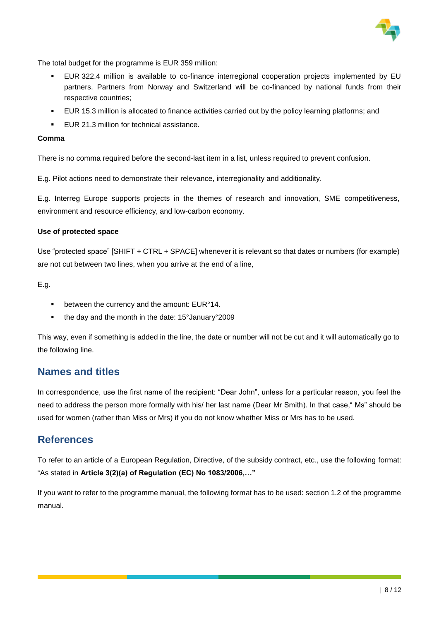

The total budget for the programme is EUR 359 million:

- EUR 322.4 million is available to co-finance interregional cooperation projects implemented by EU partners. Partners from Norway and Switzerland will be co-financed by national funds from their respective countries;
- EUR 15.3 million is allocated to finance activities carried out by the policy learning platforms; and
- EUR 21.3 million for technical assistance.

#### **Comma**

There is no comma required before the second-last item in a list, unless required to prevent confusion.

E.g. Pilot actions need to demonstrate their relevance, interregionality and additionality.

E.g. Interreg Europe supports projects in the themes of research and innovation, SME competitiveness, environment and resource efficiency, and low-carbon economy.

#### **Use of protected space**

Use "protected space" [SHIFT + CTRL + SPACE] whenever it is relevant so that dates or numbers (for example) are not cut between two lines, when you arrive at the end of a line,

E.g.

- **EXECUTE:** between the currency and the amount: EUR°14.
- the day and the month in the date: 15°January°2009

This way, even if something is added in the line, the date or number will not be cut and it will automatically go to the following line.

### **Names and titles**

In correspondence, use the first name of the recipient: "Dear John", unless for a particular reason, you feel the need to address the person more formally with his/ her last name (Dear Mr Smith). In that case, "Ms" should be used for women (rather than Miss or Mrs) if you do not know whether Miss or Mrs has to be used.

### **References**

To refer to an article of a European Regulation, Directive, of the subsidy contract, etc., use the following format: "As stated in **Article 3(2)(a) of Regulation (EC) No 1083/2006,…"**

If you want to refer to the programme manual, the following format has to be used: section 1.2 of the programme manual.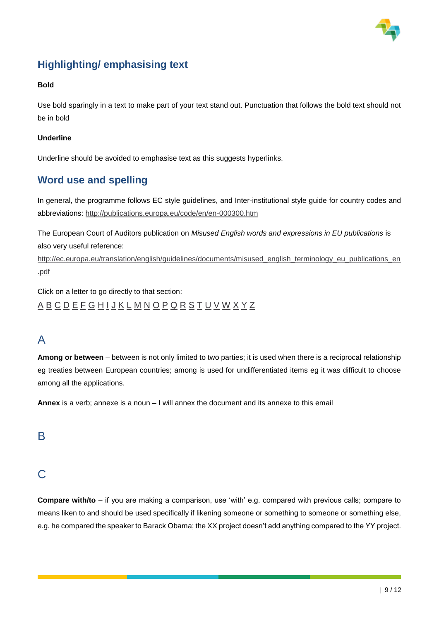

# **Highlighting/ emphasising text**

#### **Bold**

Use bold sparingly in a text to make part of your text stand out. Punctuation that follows the bold text should not be in bold

#### **Underline**

Underline should be avoided to emphasise text as this suggests hyperlinks.

## **Word use and spelling**

In general, the programme follows EC style guidelines, and Inter-institutional style guide for country codes and abbreviations: http://publications.europa.eu/code/en/en-000300.htm

The European Court of Auditors publication on *Misused English words and expressions in EU publications* is also very useful reference:

http://ec.europa.eu/translation/english/guidelines/documents/misused\_english\_terminology\_eu\_publications\_en .pdf

Click on a letter to go directly to that section: A B C D E F G H I J K L M N O P Q R S T U V W X Y Z

## A

**Among or between** – between is not only limited to two parties; it is used when there is a reciprocal relationship eg treaties between European countries; among is used for undifferentiated items eg it was difficult to choose among all the applications.

**Annex** is a verb; annexe is a noun – I will annex the document and its annexe to this email

## B

## $\bigcap$

**Compare with/to** – if you are making a comparison, use 'with' e.g. compared with previous calls; compare to means liken to and should be used specifically if likening someone or something to someone or something else, e.g. he compared the speaker to Barack Obama; the XX project doesn't add anything compared to the YY project.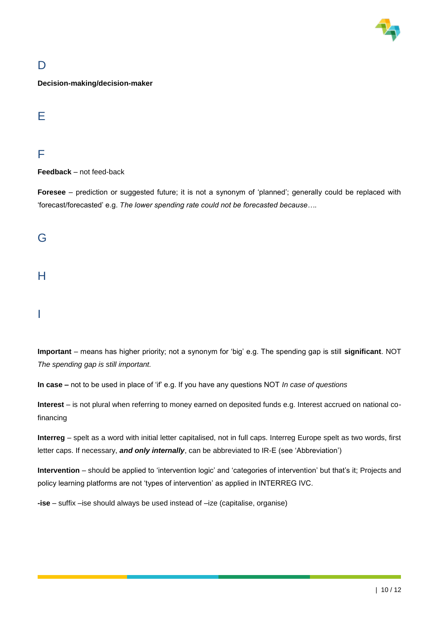

# D

**Decision-making/decision-maker**

## E

## F

**Feedback** – not feed-back

**Foresee** – prediction or suggested future; it is not a synonym of 'planned'; generally could be replaced with 'forecast/forecasted' e.g. *The lower spending rate could not be forecasted because….*

## G

## H

## I

**Important** – means has higher priority; not a synonym for 'big' e.g. The spending gap is still **significant**. NOT *The spending gap is still important.*

**In case –** not to be used in place of 'if' e.g. If you have any questions NOT *In case of questions*

**Interest** – is not plural when referring to money earned on deposited funds e.g. Interest accrued on national cofinancing

**Interreg** – spelt as a word with initial letter capitalised, not in full caps. Interreg Europe spelt as two words, first letter caps. If necessary, *and only internally*, can be abbreviated to IR-E (see 'Abbreviation')

**Intervention** – should be applied to 'intervention logic' and 'categories of intervention' but that's it; Projects and policy learning platforms are not 'types of intervention' as applied in INTERREG IVC.

**-ise** – suffix –ise should always be used instead of –ize (capitalise, organise)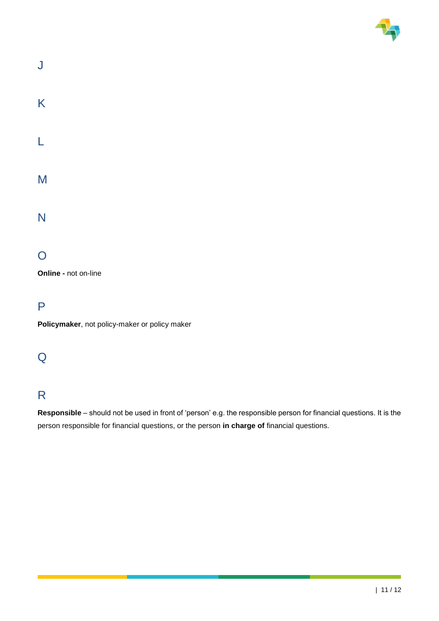

| J |  |  |  |
|---|--|--|--|
| K |  |  |  |
| L |  |  |  |
| M |  |  |  |
| N |  |  |  |
|   |  |  |  |

# O

**Online -** not on-line

P

**Policymaker**, not policy-maker or policy maker

## Q

## R

**Responsible** – should not be used in front of 'person' e.g. the responsible person for financial questions. It is the person responsible for financial questions, or the person **in charge of** financial questions.